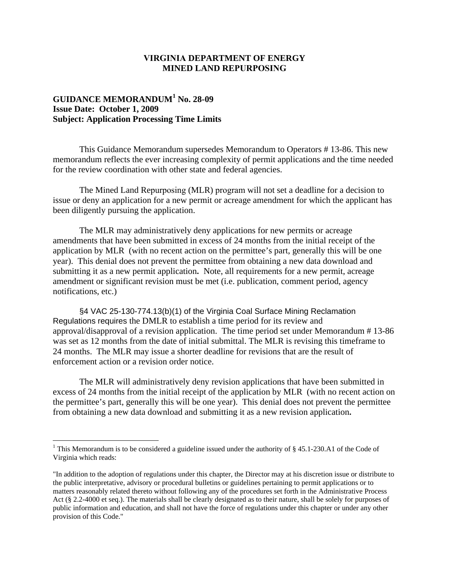## **VIRGINIA DEPARTMENT OF ENERGY MINED LAND REPURPOSING**

## **GUIDANCE MEMORANDUM<sup>1</sup> No. 28-09 Issue Date: October 1, 2009 Subject: Application Processing Time Limits**

This Guidance Memorandum supersedes Memorandum to Operators # 13-86. This new memorandum reflects the ever increasing complexity of permit applications and the time needed for the review coordination with other state and federal agencies.

The Mined Land Repurposing (MLR) program will not set a deadline for a decision to issue or deny an application for a new permit or acreage amendment for which the applicant has been diligently pursuing the application.

The MLR may administratively deny applications for new permits or acreage amendments that have been submitted in excess of 24 months from the initial receipt of the application by MLR (with no recent action on the permittee's part, generally this will be one year). This denial does not prevent the permittee from obtaining a new data download and submitting it as a new permit application**.** Note, all requirements for a new permit, acreage amendment or significant revision must be met (i.e. publication, comment period, agency notifications, etc.)

§4 VAC 25-130-774.13(b)(1) of the Virginia Coal Surface Mining Reclamation Regulations requires the DMLR to establish a time period for its review and approval/disapproval of a revision application. The time period set under Memorandum # 13-86 was set as 12 months from the date of initial submittal. The MLR is revising this timeframe to 24 months. The MLR may issue a shorter deadline for revisions that are the result of enforcement action or a revision order notice.

The MLR will administratively deny revision applications that have been submitted in excess of 24 months from the initial receipt of the application by MLR (with no recent action on the permittee's part, generally this will be one year). This denial does not prevent the permittee from obtaining a new data download and submitting it as a new revision application**.**

<sup>&</sup>lt;sup>1</sup> This Memorandum is to be considered a guideline issued under the authority of §45.1-230.A1 of the Code of Virginia which reads:

<sup>&</sup>quot;In addition to the adoption of regulations under this chapter, the Director may at his discretion issue or distribute to the public interpretative, advisory or procedural bulletins or guidelines pertaining to permit applications or to matters reasonably related thereto without following any of the procedures set forth in the Administrative Process Act (§ 2.2-4000 et seq.). The materials shall be clearly designated as to their nature, shall be solely for purposes of public information and education, and shall not have the force of regulations under this chapter or under any other provision of this Code."